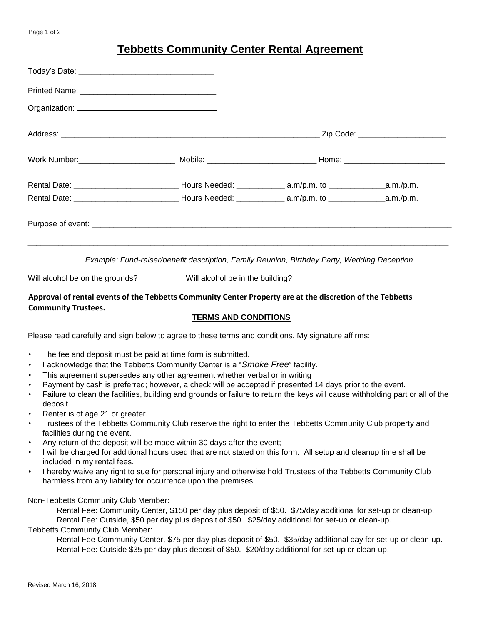## **Tebbetts Community Center Rental Agreement**

|                                                                                                                                         |  | Example: Fund-raiser/benefit description, Family Reunion, Birthday Party, Wedding Reception |  |  |
|-----------------------------------------------------------------------------------------------------------------------------------------|--|---------------------------------------------------------------------------------------------|--|--|
| Will alcohol be on the grounds? ___________ Will alcohol be in the building? ______________                                             |  |                                                                                             |  |  |
| Approval of rental events of the Tebbetts Community Center Property are at the discretion of the Tebbetts<br><b>Community Trustees.</b> |  |                                                                                             |  |  |
| <b>TERMS AND CONDITIONS</b>                                                                                                             |  |                                                                                             |  |  |
| Please read carefully and sign below to agree to these terms and conditions. My signature affirms:                                      |  |                                                                                             |  |  |

- The fee and deposit must be paid at time form is submitted.
- I acknowledge that the Tebbetts Community Center is a "*Smoke Free*" facility.
- This agreement supersedes any other agreement whether verbal or in writing
- Payment by cash is preferred; however, a check will be accepted if presented 14 days prior to the event.
- Failure to clean the facilities, building and grounds or failure to return the keys will cause withholding part or all of the deposit.
- Renter is of age 21 or greater.
- Trustees of the Tebbetts Community Club reserve the right to enter the Tebbetts Community Club property and facilities during the event.
- Any return of the deposit will be made within 30 days after the event;
- I will be charged for additional hours used that are not stated on this form. All setup and cleanup time shall be included in my rental fees.
- I hereby waive any right to sue for personal injury and otherwise hold Trustees of the Tebbetts Community Club harmless from any liability for occurrence upon the premises.

Non-Tebbetts Community Club Member:

Rental Fee: Community Center, \$150 per day plus deposit of \$50. \$75/day additional for set-up or clean-up. Rental Fee: Outside, \$50 per day plus deposit of \$50. \$25/day additional for set-up or clean-up.

Tebbetts Community Club Member:

Rental Fee Community Center, \$75 per day plus deposit of \$50. \$35/day additional day for set-up or clean-up. Rental Fee: Outside \$35 per day plus deposit of \$50. \$20/day additional for set-up or clean-up.